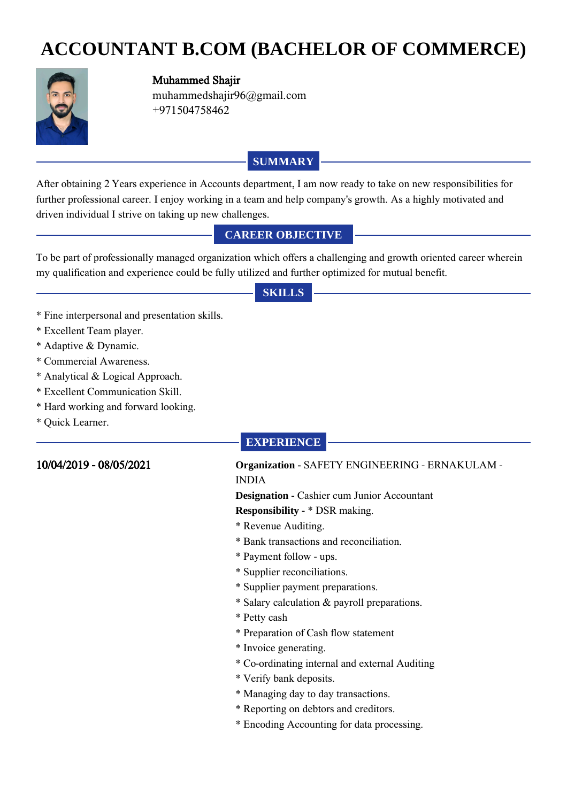# **ACCOUNTANT B.COM (BACHELOR OF COMMERCE)**



#### Muhammed Shajir

muhammedshajir96@gmail.com +971504758462

#### **SUMMARY**

After obtaining 2 Years experience in Accounts department, I am now ready to take on new responsibilities for further professional career. I enjoy working in a team and help company's growth. As a highly motivated and driven individual I strive on taking up new challenges.

#### **CAREER OBJECTIVE**

To be part of professionally managed organization which offers a challenging and growth oriented career wherein my qualification and experience could be fully utilized and further optimized for mutual benefit.

#### **SKILLS**

- \* Fine interpersonal and presentation skills.
- \* Excellent Team player.
- \* Adaptive & Dynamic.
- \* Commercial Awareness.
- \* Analytical & Logical Approach.
- \* Excellent Communication Skill.
- \* Hard working and forward looking.
- \* Quick Learner.

#### **EXPERIENCE**

#### 10/04/2019 - 08/05/2021 **Organization -** SAFETY ENGINEERING - ERNAKULAM - INDIA

## **Designation - Cashier cum Junior Accountant**

**Responsibility -** \* DSR making.

- \* Revenue Auditing.
- \* Bank transactions and reconciliation.
- \* Payment follow ups.
- \* Supplier reconciliations.
- \* Supplier payment preparations.
- \* Salary calculation & payroll preparations.
- \* Petty cash
- \* Preparation of Cash flow statement
- \* Invoice generating.
- \* Co-ordinating internal and external Auditing
- \* Verify bank deposits.
- \* Managing day to day transactions.
- \* Reporting on debtors and creditors.
- \* Encoding Accounting for data processing.